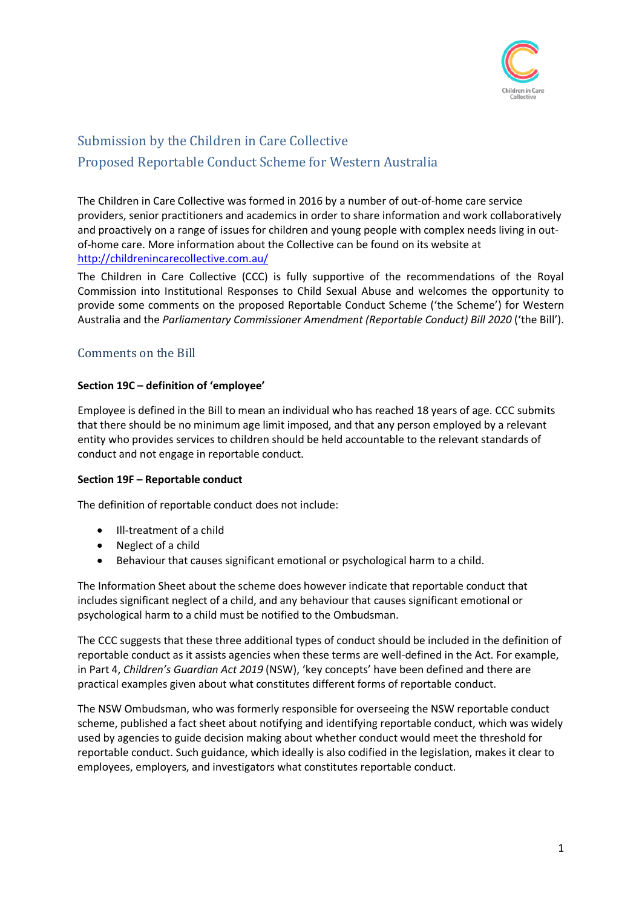

# Submission by the Children in Care Collective Proposed Reportable Conduct Scheme for Western Australia

The Children in Care Collective was formed in 2016 by a number of out-of-home care service providers, senior practitioners and academics in order to share information and work collaboratively and proactively on a range of issues for children and young people with complex needs living in outof-home care. More information about the Collective can be found on its website at <http://childrenincarecollective.com.au/>

The Children in Care Collective (CCC) is fully supportive of the recommendations of the Royal Commission into Institutional Responses to Child Sexual Abuse and welcomes the opportunity to provide some comments on the proposed Reportable Conduct Scheme ('the Scheme') for Western Australia and the *Parliamentary Commissioner Amendment (Reportable Conduct) Bill 2020* ('the Bill').

## Comments on the Bill

## **Section 19C – definition of 'employee'**

Employee is defined in the Bill to mean an individual who has reached 18 years of age. CCC submits that there should be no minimum age limit imposed, and that any person employed by a relevant entity who provides services to children should be held accountable to the relevant standards of conduct and not engage in reportable conduct.

## **Section 19F – Reportable conduct**

The definition of reportable conduct does not include:

- Ill-treatment of a child
- Neglect of a child
- Behaviour that causes significant emotional or psychological harm to a child.

The Information Sheet about the scheme does however indicate that reportable conduct that includes significant neglect of a child, and any behaviour that causes significant emotional or psychological harm to a child must be notified to the Ombudsman.

The CCC suggests that these three additional types of conduct should be included in the definition of reportable conduct as it assists agencies when these terms are well-defined in the Act. For example, in Part 4, *Children's Guardian Act 2019* (NSW), 'key concepts' have been defined and there are practical examples given about what constitutes different forms of reportable conduct.

The NSW Ombudsman, who was formerly responsible for overseeing the NSW reportable conduct scheme, published a fact sheet about notifying and identifying reportable conduct, which was widely used by agencies to guide decision making about whether conduct would meet the threshold for reportable conduct. Such guidance, which ideally is also codified in the legislation, makes it clear to employees, employers, and investigators what constitutes reportable conduct.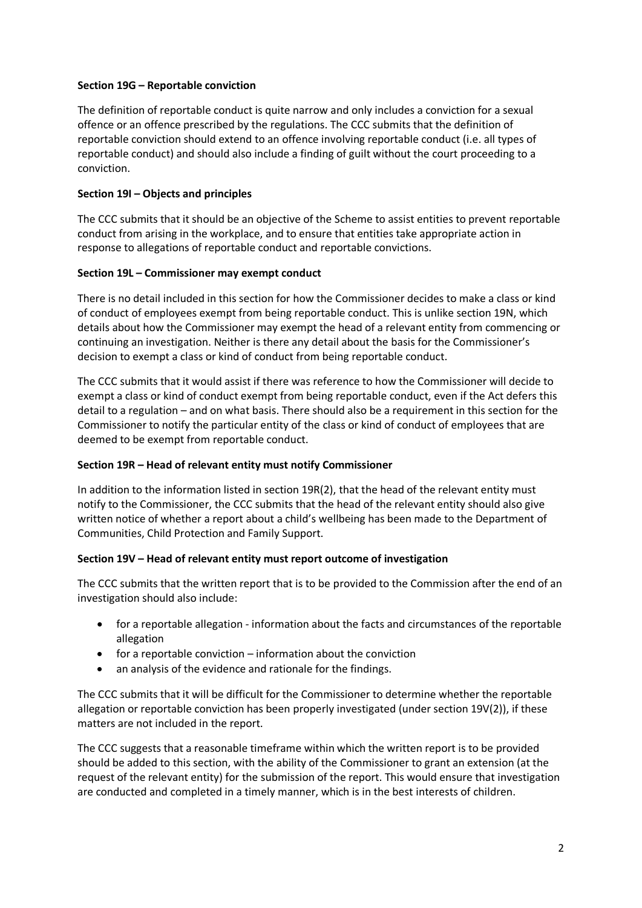## **Section 19G – Reportable conviction**

The definition of reportable conduct is quite narrow and only includes a conviction for a sexual offence or an offence prescribed by the regulations. The CCC submits that the definition of reportable conviction should extend to an offence involving reportable conduct (i.e. all types of reportable conduct) and should also include a finding of guilt without the court proceeding to a conviction.

## **Section 19I – Objects and principles**

The CCC submits that it should be an objective of the Scheme to assist entities to prevent reportable conduct from arising in the workplace, and to ensure that entities take appropriate action in response to allegations of reportable conduct and reportable convictions.

## **Section 19L – Commissioner may exempt conduct**

There is no detail included in this section for how the Commissioner decides to make a class or kind of conduct of employees exempt from being reportable conduct. This is unlike section 19N, which details about how the Commissioner may exempt the head of a relevant entity from commencing or continuing an investigation. Neither is there any detail about the basis for the Commissioner's decision to exempt a class or kind of conduct from being reportable conduct.

The CCC submits that it would assist if there was reference to how the Commissioner will decide to exempt a class or kind of conduct exempt from being reportable conduct, even if the Act defers this detail to a regulation – and on what basis. There should also be a requirement in this section for the Commissioner to notify the particular entity of the class or kind of conduct of employees that are deemed to be exempt from reportable conduct.

#### **Section 19R – Head of relevant entity must notify Commissioner**

In addition to the information listed in section 19R(2), that the head of the relevant entity must notify to the Commissioner, the CCC submits that the head of the relevant entity should also give written notice of whether a report about a child's wellbeing has been made to the Department of Communities, Child Protection and Family Support.

## **Section 19V – Head of relevant entity must report outcome of investigation**

The CCC submits that the written report that is to be provided to the Commission after the end of an investigation should also include:

- for a reportable allegation information about the facts and circumstances of the reportable allegation
- for a reportable conviction information about the conviction
- an analysis of the evidence and rationale for the findings.

The CCC submits that it will be difficult for the Commissioner to determine whether the reportable allegation or reportable conviction has been properly investigated (under section 19V(2)), if these matters are not included in the report.

The CCC suggests that a reasonable timeframe within which the written report is to be provided should be added to this section, with the ability of the Commissioner to grant an extension (at the request of the relevant entity) for the submission of the report. This would ensure that investigation are conducted and completed in a timely manner, which is in the best interests of children.